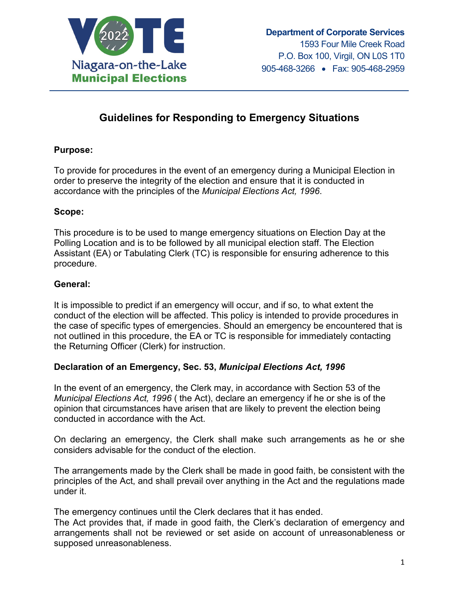

# **Guidelines for Responding to Emergency Situations**

#### **Purpose:**

To provide for procedures in the event of an emergency during a Municipal Election in order to preserve the integrity of the election and ensure that it is conducted in accordance with the principles of the *Municipal Elections Act, 1996*.

#### **Scope:**

This procedure is to be used to mange emergency situations on Election Day at the Polling Location and is to be followed by all municipal election staff. The Election Assistant (EA) or Tabulating Clerk (TC) is responsible for ensuring adherence to this procedure.

#### **General:**

It is impossible to predict if an emergency will occur, and if so, to what extent the conduct of the election will be affected. This policy is intended to provide procedures in the case of specific types of emergencies. Should an emergency be encountered that is not outlined in this procedure, the EA or TC is responsible for immediately contacting the Returning Officer (Clerk) for instruction.

# **Declaration of an Emergency, Sec. 53,** *Municipal Elections Act, 1996*

In the event of an emergency, the Clerk may, in accordance with Section 53 of the *Municipal Elections Act, 1996* ( the Act), declare an emergency if he or she is of the opinion that circumstances have arisen that are likely to prevent the election being conducted in accordance with the Act.

On declaring an emergency, the Clerk shall make such arrangements as he or she considers advisable for the conduct of the election.

The arrangements made by the Clerk shall be made in good faith, be consistent with the principles of the Act, and shall prevail over anything in the Act and the regulations made under it.

The emergency continues until the Clerk declares that it has ended.

The Act provides that, if made in good faith, the Clerk's declaration of emergency and arrangements shall not be reviewed or set aside on account of unreasonableness or supposed unreasonableness.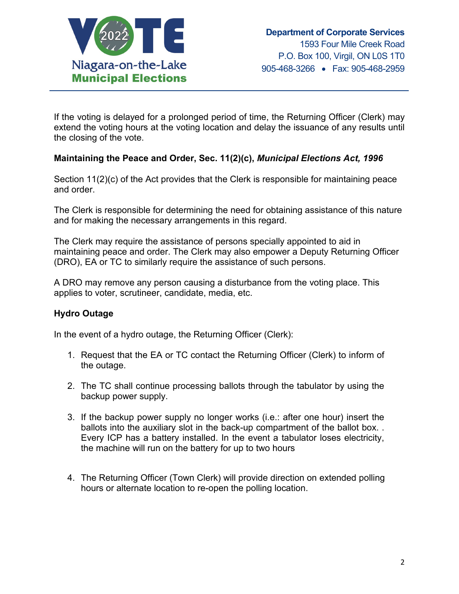

If the voting is delayed for a prolonged period of time, the Returning Officer (Clerk) may extend the voting hours at the voting location and delay the issuance of any results until the closing of the vote.

# **Maintaining the Peace and Order, Sec. 11(2)(c),** *Municipal Elections Act, 1996*

Section 11(2)(c) of the Act provides that the Clerk is responsible for maintaining peace and order.

The Clerk is responsible for determining the need for obtaining assistance of this nature and for making the necessary arrangements in this regard.

The Clerk may require the assistance of persons specially appointed to aid in maintaining peace and order. The Clerk may also empower a Deputy Returning Officer (DRO), EA or TC to similarly require the assistance of such persons.

A DRO may remove any person causing a disturbance from the voting place. This applies to voter, scrutineer, candidate, media, etc.

# **Hydro Outage**

In the event of a hydro outage, the Returning Officer (Clerk):

- 1. Request that the EA or TC contact the Returning Officer (Clerk) to inform of the outage.
- 2. The TC shall continue processing ballots through the tabulator by using the backup power supply.
- 3. If the backup power supply no longer works (i.e.: after one hour) insert the ballots into the auxiliary slot in the back-up compartment of the ballot box. . Every ICP has a battery installed. In the event a tabulator loses electricity, the machine will run on the battery for up to two hours
- 4. The Returning Officer (Town Clerk) will provide direction on extended polling hours or alternate location to re-open the polling location.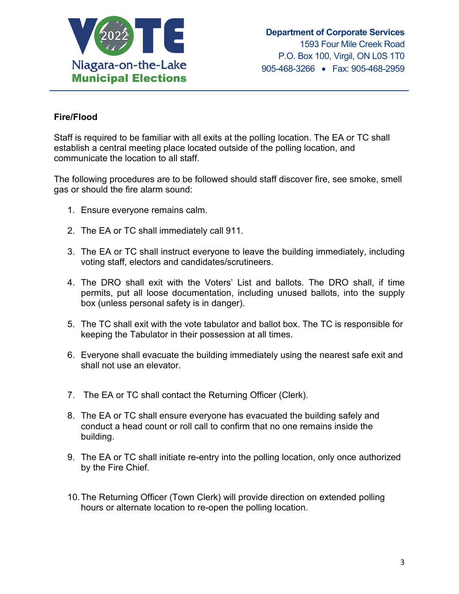

# **Fire/Flood**

Staff is required to be familiar with all exits at the polling location. The EA or TC shall establish a central meeting place located outside of the polling location, and communicate the location to all staff.

The following procedures are to be followed should staff discover fire, see smoke, smell gas or should the fire alarm sound:

- 1. Ensure everyone remains calm.
- 2. The EA or TC shall immediately call 911.
- 3. The EA or TC shall instruct everyone to leave the building immediately, including voting staff, electors and candidates/scrutineers.
- 4. The DRO shall exit with the Voters' List and ballots. The DRO shall, if time permits, put all loose documentation, including unused ballots, into the supply box (unless personal safety is in danger).
- 5. The TC shall exit with the vote tabulator and ballot box. The TC is responsible for keeping the Tabulator in their possession at all times.
- 6. Everyone shall evacuate the building immediately using the nearest safe exit and shall not use an elevator.
- 7. The EA or TC shall contact the Returning Officer (Clerk).
- 8. The EA or TC shall ensure everyone has evacuated the building safely and conduct a head count or roll call to confirm that no one remains inside the building.
- 9. The EA or TC shall initiate re-entry into the polling location, only once authorized by the Fire Chief.
- 10.The Returning Officer (Town Clerk) will provide direction on extended polling hours or alternate location to re-open the polling location.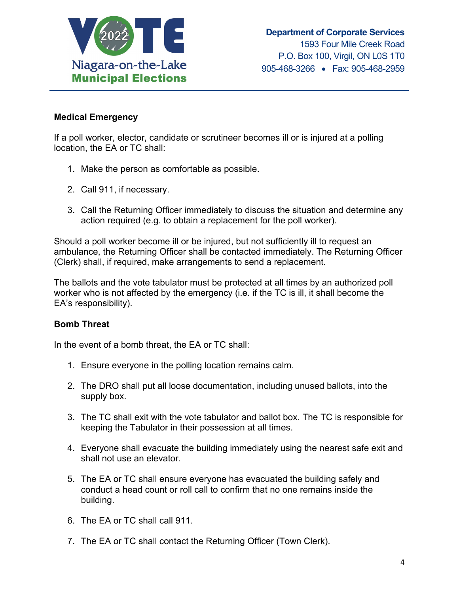

#### **Medical Emergency**

If a poll worker, elector, candidate or scrutineer becomes ill or is injured at a polling location, the EA or TC shall:

- 1. Make the person as comfortable as possible.
- 2. Call 911, if necessary.
- 3. Call the Returning Officer immediately to discuss the situation and determine any action required (e.g. to obtain a replacement for the poll worker).

Should a poll worker become ill or be injured, but not sufficiently ill to request an ambulance, the Returning Officer shall be contacted immediately. The Returning Officer (Clerk) shall, if required, make arrangements to send a replacement.

The ballots and the vote tabulator must be protected at all times by an authorized poll worker who is not affected by the emergency (i.e. if the TC is ill, it shall become the EA's responsibility).

# **Bomb Threat**

In the event of a bomb threat, the EA or TC shall:

- 1. Ensure everyone in the polling location remains calm.
- 2. The DRO shall put all loose documentation, including unused ballots, into the supply box.
- 3. The TC shall exit with the vote tabulator and ballot box. The TC is responsible for keeping the Tabulator in their possession at all times.
- 4. Everyone shall evacuate the building immediately using the nearest safe exit and shall not use an elevator.
- 5. The EA or TC shall ensure everyone has evacuated the building safely and conduct a head count or roll call to confirm that no one remains inside the building.
- 6. The EA or TC shall call 911.
- 7. The EA or TC shall contact the Returning Officer (Town Clerk).